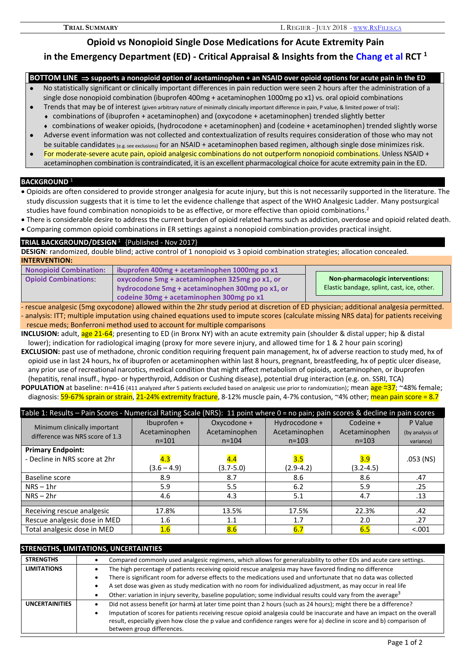**Opioid vs Nonopioid Single Dose Medications for Acute Extremity Pain** 

# **in the Emergency Department (ED) - Critical Appraisal & Insights from the Chang et al RCT <sup>1</sup>**

## **BOTTOM LINE supports a nonopioid option of acetaminophen + an NSAID over opioid options for acute pain in the ED**

- No statistically significant or clinically important differences in pain reduction were seen 2 hours after the administration of a single dose nonopioid combination (ibuprofen 400mg + acetaminophen 1000mg po x1) vs. oral opioid combinations
	- Trends that may be of interest (given arbitrary nature of minimally clinically important difference in pain, P value, & limited power of trial):
	- combinations of (ibuprofen + acetaminophen) and (oxycodone + acetaminophen) trended slightly better
	- combinations of weaker opioids, (hydrocodone + acetaminophen) and (codeine + acetaminophen) trended slightly worse
- Adverse event information was not collected and contextualization of results requires consideration of those who may not be suitable candidates (e.g. see exclusions) for an NSAID + acetaminophen based regimen, although single dose minimizes risk.
- For moderate-severe acute pain, opioid analgesic combinations do not outperform nonopioid combinations. Unless NSAID + acetaminophen combination is contraindicated, it is an excellent pharmacological choice for acute extremity pain in the ED.

## **BACKGROUND** <sup>1</sup>

- Opioids are often considered to provide stronger analgesia for acute injury, but this is not necessarily supported in the literature. The study discussion suggests that it is time to let the evidence challenge that aspect of the WHO Analgesic Ladder. Many postsurgical studies have found combination nonopioids to be as effective, or more effective than opioid combinations.<sup>2</sup>
- There is considerable desire to address the current burden of opioid related harms such as addiction, overdose and opioid related death.
- Comparing common opioid combinations in ER settings against a nonopioid combination provides practical insight.

## **TRIAL BACKGROUND/DESIGN<sup>1</sup> {Published - Nov 2017}**

**DESIGN**: randomized, double blind; active control of 1 nonopioid vs 3 opioid combination strategies; allocation concealed. **INTERVENTION:** 

| <b>Nonopioid Combination:</b> | ibuprofen 400mg + acetaminophen 1000mg po x1                                                |
|-------------------------------|---------------------------------------------------------------------------------------------|
| <b>Opioid Combinations:</b>   | oxycodone 5mg + acetaminophen 325mg po x1, or                                               |
|                               | hydrocodone 5mg + acetaminophen 300mg po x1, or<br>codeine 30mg + acetaminophen 300mg po x1 |

**Non-pharmacologic interventions:** Elastic bandage, splint, cast, ice, other.

- rescue analgesic (5mg oxycodone) allowed within the 2hr study period at discretion of ED physician; additional analgesia permitted. - analysis: ITT; multiple imputation using chained equations used to impute scores (calculate missing NRS data) for patients receiving rescue meds; Bonferroni method used to account for multiple comparisons

**INCLUSION:** adult, **age 21-64**; presenting to ED (in Bronx NY) with an acute extremity pain (shoulder & distal upper; hip & distal lower); indication for radiological imaging (proxy for more severe injury, and allowed time for 1 & 2 hour pain scoring) **EXCLUSION:** past use of methadone, chronic condition requiring frequent pain management, hx of adverse reaction to study med, hx of opioid use in last 24 hours, hx of ibuprofen or acetaminophen within last 8 hours, pregnant, breastfeeding, hx of peptic ulcer disease, any prior use of recreational narcotics, medical condition that might affect metabolism of opioids, acetaminophen, or ibuprofen (hepatitis, renal insuff., hypo- or hyperthyroid, Addison or Cushing disease), potential drug interaction (e.g. on. SSRI, TCA) **POPULATION** at baseline: n=416 (411 analyzed after 5 patients excluded based on analgesic use prior to randomization); mean age ≃37; ~48% female;

diagnosis: 59-67% sprain or strain, 21-24% extremity fracture, 8-12% muscle pain, 4-7% contusion, ~4% other; mean pain score = 8.7

| Table 1: Results - Pain Scores - Numerical Rating Scale (NRS): 11 point where 0 = no pain; pain scores & decline in pain scores |               |               |               |               |                 |
|---------------------------------------------------------------------------------------------------------------------------------|---------------|---------------|---------------|---------------|-----------------|
| Minimum clinically important                                                                                                    | Ibuprofen +   | Oxycodone +   | Hydrocodone + | Codeine +     | P Value         |
| difference was NRS score of 1.3                                                                                                 | Acetaminophen | Acetaminophen | Acetaminophen | Acetaminophen | (by analysis of |
|                                                                                                                                 | $n = 101$     | $n = 104$     | $n = 103$     | $n = 103$     | variance)       |
| <b>Primary Endpoint:</b>                                                                                                        |               |               |               |               |                 |
| - Decline in NRS score at 2hr                                                                                                   | 4.3           | 4.4           | 3.5           | 3.9           | .053 (NS)       |
|                                                                                                                                 | $(3.6 - 4.9)$ | $(3.7 - 5.0)$ | $(2.9 - 4.2)$ | $(3.2 - 4.5)$ |                 |
| Baseline score                                                                                                                  | 8.9           | 8.7           | 8.6           | 8.6           | .47             |
| $NRS - 1hr$                                                                                                                     | 5.9           | 5.5           | 6.2           | 5.9           | .25             |
| $NRS - 2hr$                                                                                                                     | 4.6           | 4.3           | 5.1           | 4.7           | .13             |
|                                                                                                                                 |               |               |               |               |                 |
| Receiving rescue analgesic                                                                                                      | 17.8%         | 13.5%         | 17.5%         | 22.3%         | .42             |
| Rescue analgesic dose in MED                                                                                                    | 1.6           | 1.1           | 1.7           | 2.0           | .27             |
| Total analgesic dose in MED                                                                                                     | 1.6           | 8.6           | 6.7           | 6.5           | < .001          |

## **STRENGTHS, LIMITATIONS, UNCERTAINTIES STRENGTHS •** Compared commonly used analgesic regimens, which allows for generalizability to other EDs and acute care settings **LIMITATIONS** The high percentage of patients receiving opioid rescue analgesia may have favored finding no difference There is significant room for adverse effects to the medications used and unfortunate that no data was collected A set dose was given as study medication with no room for individualized adjustment, as may occur in real life Other: variation in injury severity, baseline population; some individual results could vary from the average<sup>3</sup> **UNCERTAINITIES** • Did not assess benefit (or harm) at later time point than 2 hours (such as 24 hours); might there be a difference? Imputation of scores for patients receiving rescue opioid analgesia could be inaccurate and have an impact on the overall result, especially given how close the p value and confidence ranges were for a) decline in score and b) comparison of between group differences.